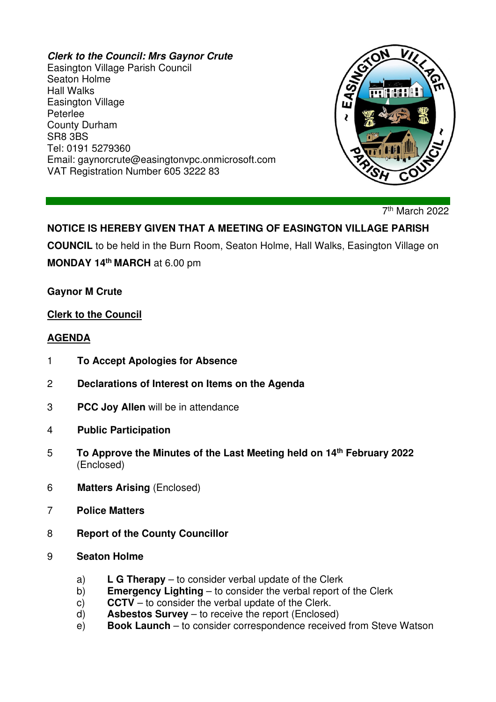#### **Clerk to the Council: Mrs Gaynor Crute**

Easington Village Parish Council Seaton Holme Hall Walks Easington Village Peterlee County Durham SR8 3BS Tel: 0191 5279360 Email: gaynorcrute@easingtonvpc.onmicrosoft.com VAT Registration Number 605 3222 83



7<sup>th</sup> March 2022

# **NOTICE IS HEREBY GIVEN THAT A MEETING OF EASINGTON VILLAGE PARISH**

**COUNCIL** to be held in the Burn Room, Seaton Holme, Hall Walks, Easington Village on **MONDAY 14th MARCH** at 6.00 pm

**Gaynor M Crute** 

#### **Clerk to the Council**

#### **AGENDA**

- 1 **To Accept Apologies for Absence**
- 2 **Declarations of Interest on Items on the Agenda**
- 3 **PCC Joy Allen** will be in attendance
- 4 **Public Participation**
- 5 **To Approve the Minutes of the Last Meeting held on 14th February 2022** (Enclosed)
- 6 **Matters Arising** (Enclosed)
- 7 **Police Matters**
- 8 **Report of the County Councillor**
- 9 **Seaton Holme** 
	- a) **L G Therapy** to consider verbal update of the Clerk
	- b) **Emergency Lighting** to consider the verbal report of the Clerk
	- c) **CCTV** to consider the verbal update of the Clerk.
	- d) **Asbestos Survey** to receive the report (Enclosed)
	- e) **Book Launch** to consider correspondence received from Steve Watson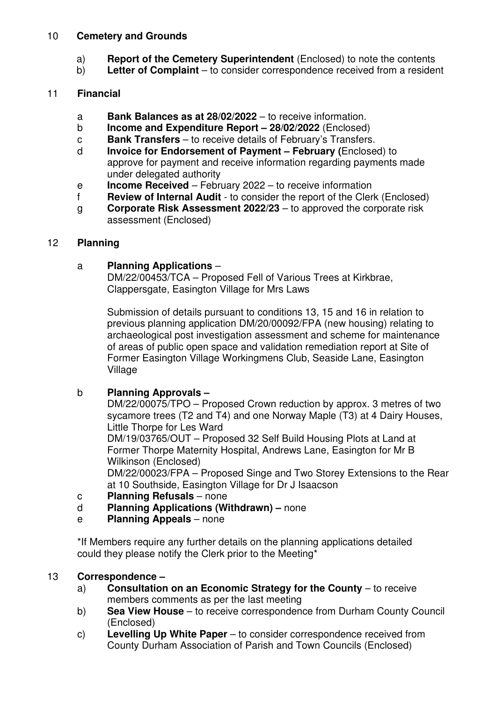#### 10 **Cemetery and Grounds**

- a) **Report of the Cemetery Superintendent** (Enclosed) to note the contents
- b) **Letter of Complaint** to consider correspondence received from a resident

## 11 **Financial**

- a **Bank Balances as at 28/02/2022** to receive information.
- b **Income and Expenditure Report 28/02/2022** (Enclosed)
- c **Bank Transfers** to receive details of February's Transfers.
- d **Invoice for Endorsement of Payment February (**Enclosed) to approve for payment and receive information regarding payments made under delegated authority
- e **Income Received** February 2022 to receive information
- f **Review of Internal Audit** to consider the report of the Clerk (Enclosed)
- g **Corporate Risk Assessment 2022/23** to approved the corporate risk assessment (Enclosed)

## 12 **Planning**

## a **Planning Applications** –

 DM/22/00453/TCA – Proposed Fell of Various Trees at Kirkbrae, Clappersgate, Easington Village for Mrs Laws

 Submission of details pursuant to conditions 13, 15 and 16 in relation to previous planning application DM/20/00092/FPA (new housing) relating to archaeological post investigation assessment and scheme for maintenance of areas of public open space and validation remediation report at Site of Former Easington Village Workingmens Club, Seaside Lane, Easington Village

## b **Planning Approvals –**

 DM/22/00075/TPO – Proposed Crown reduction by approx. 3 metres of two sycamore trees (T2 and T4) and one Norway Maple (T3) at 4 Dairy Houses, Little Thorpe for Les Ward

 DM/19/03765/OUT – Proposed 32 Self Build Housing Plots at Land at Former Thorpe Maternity Hospital, Andrews Lane, Easington for Mr B Wilkinson (Enclosed)

 DM/22/00023/FPA – Proposed Singe and Two Storey Extensions to the Rear at 10 Southside, Easington Village for Dr J Isaacson

- c **Planning Refusals** none
- d **Planning Applications (Withdrawn)** none
- e **Planning Appeals** none

\*If Members require any further details on the planning applications detailed could they please notify the Clerk prior to the Meeting\*

### 13 **Correspondence –**

- a) **Consultation on an Economic Strategy for the County** to receive members comments as per the last meeting
- b) **Sea View House** to receive correspondence from Durham County Council (Enclosed)
- c) **Levelling Up White Paper** to consider correspondence received from County Durham Association of Parish and Town Councils (Enclosed)